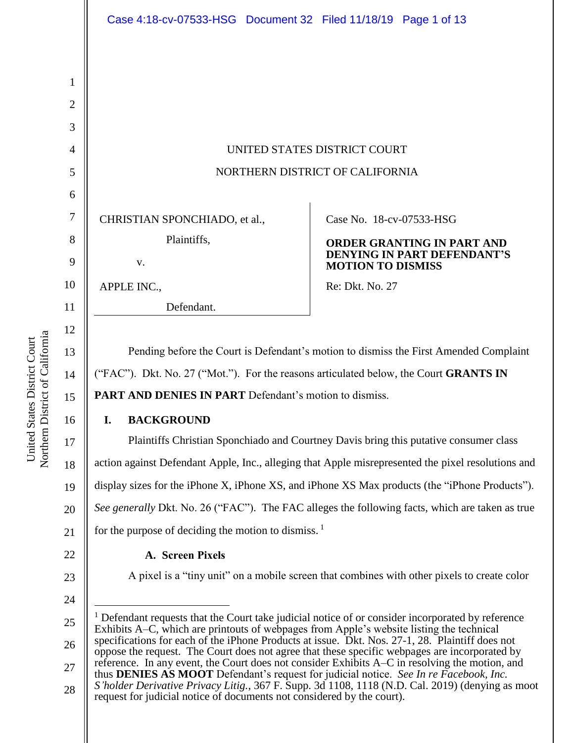|                | Case 4:18-cv-07533-HSG Document 32 Filed 11/18/19 Page 1 of 13                                                                                                                                                                                                                                                                                                                                                                                                                                                                                                                                                                                                                                                                                                                        |                                                                |
|----------------|---------------------------------------------------------------------------------------------------------------------------------------------------------------------------------------------------------------------------------------------------------------------------------------------------------------------------------------------------------------------------------------------------------------------------------------------------------------------------------------------------------------------------------------------------------------------------------------------------------------------------------------------------------------------------------------------------------------------------------------------------------------------------------------|----------------------------------------------------------------|
|                |                                                                                                                                                                                                                                                                                                                                                                                                                                                                                                                                                                                                                                                                                                                                                                                       |                                                                |
| 1              |                                                                                                                                                                                                                                                                                                                                                                                                                                                                                                                                                                                                                                                                                                                                                                                       |                                                                |
| $\overline{2}$ |                                                                                                                                                                                                                                                                                                                                                                                                                                                                                                                                                                                                                                                                                                                                                                                       |                                                                |
| 3              |                                                                                                                                                                                                                                                                                                                                                                                                                                                                                                                                                                                                                                                                                                                                                                                       |                                                                |
| $\overline{4}$ | UNITED STATES DISTRICT COURT                                                                                                                                                                                                                                                                                                                                                                                                                                                                                                                                                                                                                                                                                                                                                          |                                                                |
| 5              | NORTHERN DISTRICT OF CALIFORNIA                                                                                                                                                                                                                                                                                                                                                                                                                                                                                                                                                                                                                                                                                                                                                       |                                                                |
| 6              |                                                                                                                                                                                                                                                                                                                                                                                                                                                                                                                                                                                                                                                                                                                                                                                       |                                                                |
| 7              | CHRISTIAN SPONCHIADO, et al.,                                                                                                                                                                                                                                                                                                                                                                                                                                                                                                                                                                                                                                                                                                                                                         | Case No. 18-cv-07533-HSG                                       |
| 8              | Plaintiffs,                                                                                                                                                                                                                                                                                                                                                                                                                                                                                                                                                                                                                                                                                                                                                                           | <b>ORDER GRANTING IN PART AND</b>                              |
| 9              | V.                                                                                                                                                                                                                                                                                                                                                                                                                                                                                                                                                                                                                                                                                                                                                                                    | <b>DENYING IN PART DEFENDANT'S</b><br><b>MOTION TO DISMISS</b> |
| 10             | APPLE INC.,                                                                                                                                                                                                                                                                                                                                                                                                                                                                                                                                                                                                                                                                                                                                                                           | Re: Dkt. No. 27                                                |
| 11             | Defendant.                                                                                                                                                                                                                                                                                                                                                                                                                                                                                                                                                                                                                                                                                                                                                                            |                                                                |
| 12             |                                                                                                                                                                                                                                                                                                                                                                                                                                                                                                                                                                                                                                                                                                                                                                                       |                                                                |
| 13             | Pending before the Court is Defendant's motion to dismiss the First Amended Complaint                                                                                                                                                                                                                                                                                                                                                                                                                                                                                                                                                                                                                                                                                                 |                                                                |
| 14             | ("FAC"). Dkt. No. 27 ("Mot."). For the reasons articulated below, the Court GRANTS IN                                                                                                                                                                                                                                                                                                                                                                                                                                                                                                                                                                                                                                                                                                 |                                                                |
| 15             | <b>PART AND DENIES IN PART</b> Defendant's motion to dismiss.                                                                                                                                                                                                                                                                                                                                                                                                                                                                                                                                                                                                                                                                                                                         |                                                                |
| 16             | <b>BACKGROUND</b><br>I.                                                                                                                                                                                                                                                                                                                                                                                                                                                                                                                                                                                                                                                                                                                                                               |                                                                |
| 17             | Plaintiffs Christian Sponchiado and Courtney Davis bring this putative consumer class                                                                                                                                                                                                                                                                                                                                                                                                                                                                                                                                                                                                                                                                                                 |                                                                |
| 18             | action against Defendant Apple, Inc., alleging that Apple misrepresented the pixel resolutions and                                                                                                                                                                                                                                                                                                                                                                                                                                                                                                                                                                                                                                                                                    |                                                                |
| 19             | display sizes for the iPhone X, iPhone XS, and iPhone XS Max products (the "iPhone Products").                                                                                                                                                                                                                                                                                                                                                                                                                                                                                                                                                                                                                                                                                        |                                                                |
| 20             | See generally Dkt. No. 26 ("FAC"). The FAC alleges the following facts, which are taken as true                                                                                                                                                                                                                                                                                                                                                                                                                                                                                                                                                                                                                                                                                       |                                                                |
| 21             | for the purpose of deciding the motion to dismiss. $\frac{1}{1}$                                                                                                                                                                                                                                                                                                                                                                                                                                                                                                                                                                                                                                                                                                                      |                                                                |
| 22             | A. Screen Pixels                                                                                                                                                                                                                                                                                                                                                                                                                                                                                                                                                                                                                                                                                                                                                                      |                                                                |
| 23             | A pixel is a "tiny unit" on a mobile screen that combines with other pixels to create color                                                                                                                                                                                                                                                                                                                                                                                                                                                                                                                                                                                                                                                                                           |                                                                |
| 24             | <sup>1</sup> Defendant requests that the Court take judicial notice of or consider incorporated by reference<br>Exhibits A–C, which are printouts of webpages from Apple's website listing the technical<br>specifications for each of the iPhone Products at issue. Dkt. Nos. 27-1, 28. Plaintiff does not<br>oppose the request. The Court does not agree that these specific webpages are incorporated by<br>reference. In any event, the Court does not consider Exhibits A–C in resolving the motion, and<br>thus DENIES AS MOOT Defendant's request for judicial notice. See In re Facebook, Inc.<br>S'holder Derivative Privacy Litig., 367 F. Supp. 3d 1108, 1118 (N.D. Cal. 2019) (denying as moot<br>request for judicial notice of documents not considered by the court). |                                                                |
| 25             |                                                                                                                                                                                                                                                                                                                                                                                                                                                                                                                                                                                                                                                                                                                                                                                       |                                                                |
| 26             |                                                                                                                                                                                                                                                                                                                                                                                                                                                                                                                                                                                                                                                                                                                                                                                       |                                                                |
| 27             |                                                                                                                                                                                                                                                                                                                                                                                                                                                                                                                                                                                                                                                                                                                                                                                       |                                                                |
| 28             |                                                                                                                                                                                                                                                                                                                                                                                                                                                                                                                                                                                                                                                                                                                                                                                       |                                                                |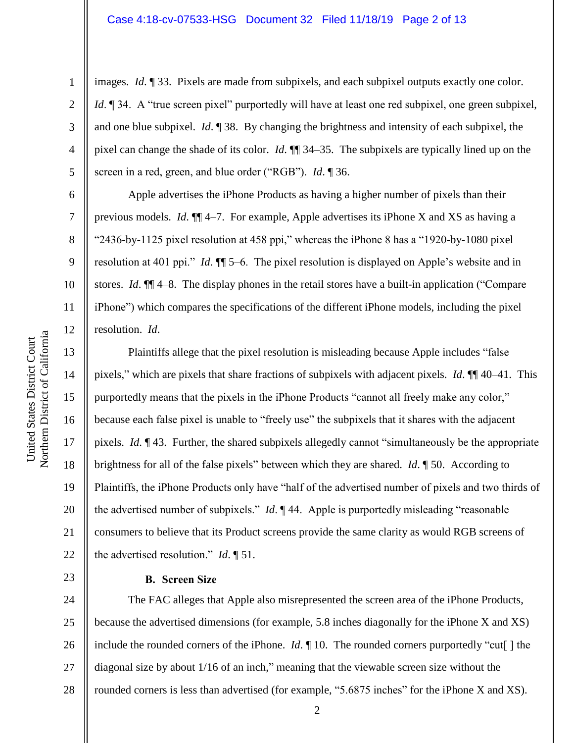#### Case 4:18-cv-07533-HSG Document 32 Filed 11/18/19 Page 2 of 13

images. *Id*. ¶ 33. Pixels are made from subpixels, and each subpixel outputs exactly one color. *Id*.  $\parallel$  34. A "true screen pixel" purportedly will have at least one red subpixel, one green subpixel, and one blue subpixel. *Id*. ¶ 38. By changing the brightness and intensity of each subpixel, the pixel can change the shade of its color. *Id*. ¶¶ 34–35. The subpixels are typically lined up on the screen in a red, green, and blue order ("RGB"). *Id*. ¶ 36.

Apple advertises the iPhone Products as having a higher number of pixels than their previous models. *Id*. ¶¶ 4–7. For example, Apple advertises its iPhone X and XS as having a "2436-by-1125 pixel resolution at 458 ppi," whereas the iPhone 8 has a "1920-by-1080 pixel resolution at 401 ppi." *Id*. ¶¶ 5–6. The pixel resolution is displayed on Apple's website and in stores. *Id*. ¶¶ 4–8. The display phones in the retail stores have a built-in application ("Compare iPhone") which compares the specifications of the different iPhone models, including the pixel resolution. *Id*.

Plaintiffs allege that the pixel resolution is misleading because Apple includes "false pixels," which are pixels that share fractions of subpixels with adjacent pixels. *Id*. ¶¶ 40–41. This purportedly means that the pixels in the iPhone Products "cannot all freely make any color," because each false pixel is unable to "freely use" the subpixels that it shares with the adjacent pixels. *Id*. ¶ 43. Further, the shared subpixels allegedly cannot "simultaneously be the appropriate brightness for all of the false pixels" between which they are shared. *Id*. ¶ 50. According to Plaintiffs, the iPhone Products only have "half of the advertised number of pixels and two thirds of the advertised number of subpixels." *Id*. ¶ 44. Apple is purportedly misleading "reasonable consumers to believe that its Product screens provide the same clarity as would RGB screens of the advertised resolution." *Id*. ¶ 51.

## **B. Screen Size**

24 25 26 27 28 The FAC alleges that Apple also misrepresented the screen area of the iPhone Products, because the advertised dimensions (for example, 5.8 inches diagonally for the iPhone X and XS) include the rounded corners of the iPhone. *Id*. ¶ 10. The rounded corners purportedly "cut[ ] the diagonal size by about 1/16 of an inch," meaning that the viewable screen size without the rounded corners is less than advertised (for example, "5.6875 inches" for the iPhone X and XS).

1

2

3

4

5

6

7

8

9

10

11

12

13

14

15

16

17

18

19

20

21

22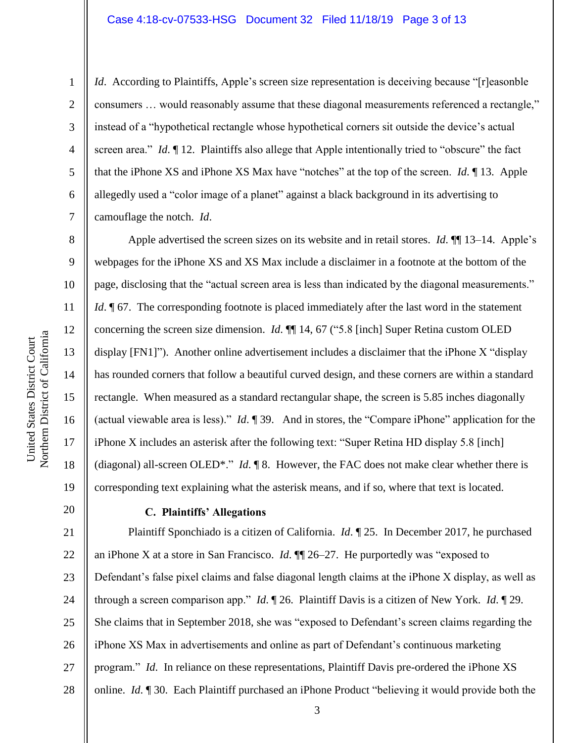#### Case 4:18-cv-07533-HSG Document 32 Filed 11/18/19 Page 3 of 13

1

2

3

4

5

6

7

8

9

10

11

12

13

14

15

16

17

18

19

*Id.* According to Plaintiffs, Apple's screen size representation is deceiving because "[r]easonble consumers … would reasonably assume that these diagonal measurements referenced a rectangle," instead of a "hypothetical rectangle whose hypothetical corners sit outside the device's actual screen area." *Id*. *[*] 12. Plaintiffs also allege that Apple intentionally tried to "obscure" the fact that the iPhone XS and iPhone XS Max have "notches" at the top of the screen. *Id*. ¶ 13. Apple allegedly used a "color image of a planet" against a black background in its advertising to camouflage the notch. *Id*.

Apple advertised the screen sizes on its website and in retail stores. *Id*.  $\P$  13–14. Apple's webpages for the iPhone XS and XS Max include a disclaimer in a footnote at the bottom of the page, disclosing that the "actual screen area is less than indicated by the diagonal measurements." *Id*.  $\sqrt{67}$ . The corresponding footnote is placed immediately after the last word in the statement concerning the screen size dimension. *Id*. ¶¶ 14, 67 ("5.8 [inch] Super Retina custom OLED display [FN1]"). Another online advertisement includes a disclaimer that the iPhone X "display has rounded corners that follow a beautiful curved design, and these corners are within a standard rectangle. When measured as a standard rectangular shape, the screen is 5.85 inches diagonally (actual viewable area is less)." *Id*. ¶ 39. And in stores, the "Compare iPhone" application for the iPhone X includes an asterisk after the following text: "Super Retina HD display 5.8 [inch] (diagonal) all-screen OLED\*." *Id*. ¶ 8. However, the FAC does not make clear whether there is corresponding text explaining what the asterisk means, and if so, where that text is located.

# 20

# **C. Plaintiffs' Allegations**

21 22 23 24 25 26 27 28 Plaintiff Sponchiado is a citizen of California. *Id*. ¶ 25. In December 2017, he purchased an iPhone X at a store in San Francisco. *Id*. ¶¶ 26–27. He purportedly was "exposed to Defendant's false pixel claims and false diagonal length claims at the iPhone X display, as well as through a screen comparison app." *Id*. ¶ 26. Plaintiff Davis is a citizen of New York. *Id*. ¶ 29. She claims that in September 2018, she was "exposed to Defendant's screen claims regarding the iPhone XS Max in advertisements and online as part of Defendant's continuous marketing program." *Id*. In reliance on these representations, Plaintiff Davis pre-ordered the iPhone XS online. *Id*. ¶ 30. Each Plaintiff purchased an iPhone Product "believing it would provide both the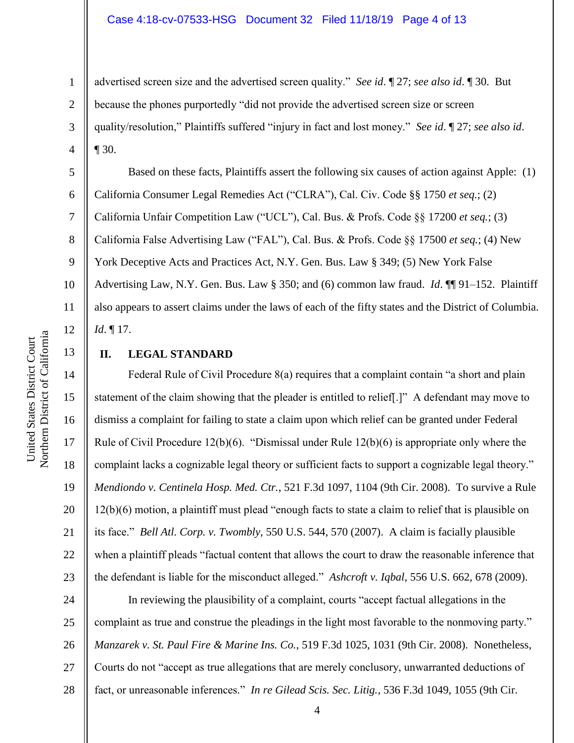advertised screen size and the advertised screen quality." *See id*. ¶ 27; *see also id*. ¶ 30. But because the phones purportedly "did not provide the advertised screen size or screen quality/resolution," Plaintiffs suffered "injury in fact and lost money." *See id*. ¶ 27; *see also id*. ¶ 30.

Based on these facts, Plaintiffs assert the following six causes of action against Apple: (1) California Consumer Legal Remedies Act ("CLRA"), Cal. Civ. Code §§ 1750 *et seq.*; (2) California Unfair Competition Law ("UCL"), Cal. Bus. & Profs. Code §§ 17200 *et seq.*; (3) California False Advertising Law ("FAL"), Cal. Bus. & Profs. Code §§ 17500 *et seq.*; (4) New York Deceptive Acts and Practices Act, N.Y. Gen. Bus. Law § 349; (5) New York False Advertising Law, N.Y. Gen. Bus. Law § 350; and (6) common law fraud. *Id*. ¶¶ 91–152. Plaintiff also appears to assert claims under the laws of each of the fifty states and the District of Columbia. *Id*. ¶ 17.

## **II. LEGAL STANDARD**

Federal Rule of Civil Procedure 8(a) requires that a complaint contain "a short and plain statement of the claim showing that the pleader is entitled to relief[.]" A defendant may move to dismiss a complaint for failing to state a claim upon which relief can be granted under Federal Rule of Civil Procedure 12(b)(6). "Dismissal under Rule 12(b)(6) is appropriate only where the complaint lacks a cognizable legal theory or sufficient facts to support a cognizable legal theory." *Mendiondo v. Centinela Hosp. Med. Ctr.*, 521 F.3d 1097, 1104 (9th Cir. 2008). To survive a Rule 12(b)(6) motion, a plaintiff must plead "enough facts to state a claim to relief that is plausible on its face." *Bell Atl. Corp. v. Twombly*, 550 U.S. 544, 570 (2007). A claim is facially plausible when a plaintiff pleads "factual content that allows the court to draw the reasonable inference that the defendant is liable for the misconduct alleged." *Ashcroft v. Iqbal*, 556 U.S. 662, 678 (2009).

24 25 26 27 28 In reviewing the plausibility of a complaint, courts "accept factual allegations in the complaint as true and construe the pleadings in the light most favorable to the nonmoving party." *Manzarek v. St. Paul Fire & Marine Ins. Co.*, 519 F.3d 1025, 1031 (9th Cir. 2008). Nonetheless, Courts do not "accept as true allegations that are merely conclusory, unwarranted deductions of fact, or unreasonable inferences." *In re Gilead Scis. Sec. Litig.*, 536 F.3d 1049, 1055 (9th Cir.

1

2

3

4

5

6

7

8

9

10

11

12

13

14

15

16

17

18

19

20

21

22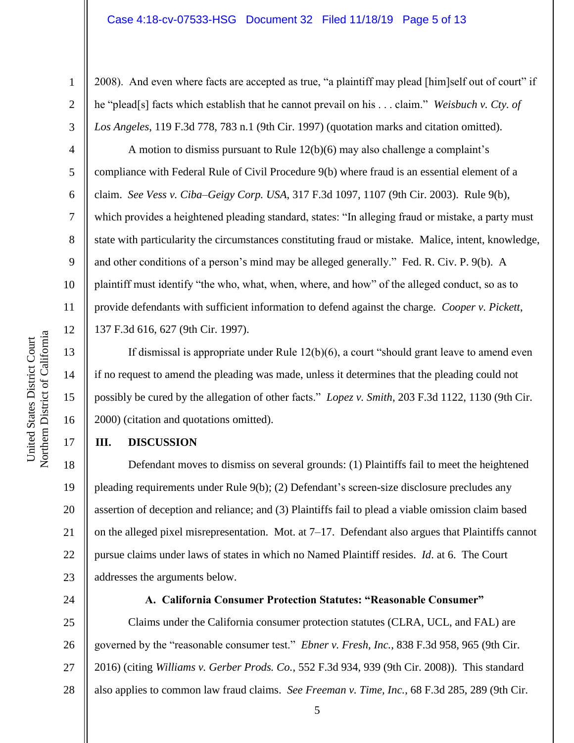#### Case 4:18-cv-07533-HSG Document 32 Filed 11/18/19 Page 5 of 13

2008). And even where facts are accepted as true, "a plaintiff may plead [him]self out of court" if he "plead[s] facts which establish that he cannot prevail on his . . . claim." *Weisbuch v. Cty. of Los Angeles*, 119 F.3d 778, 783 n.1 (9th Cir. 1997) (quotation marks and citation omitted).

A motion to dismiss pursuant to Rule 12(b)(6) may also challenge a complaint's compliance with Federal Rule of Civil Procedure 9(b) where fraud is an essential element of a claim. *See Vess v. Ciba–Geigy Corp. USA*, 317 F.3d 1097, 1107 (9th Cir. 2003). Rule 9(b), which provides a heightened pleading standard, states: "In alleging fraud or mistake, a party must state with particularity the circumstances constituting fraud or mistake. Malice, intent, knowledge, and other conditions of a person's mind may be alleged generally." Fed. R. Civ. P. 9(b). A plaintiff must identify "the who, what, when, where, and how" of the alleged conduct, so as to provide defendants with sufficient information to defend against the charge. *Cooper v. Pickett*, 137 F.3d 616, 627 (9th Cir. 1997).

If dismissal is appropriate under Rule 12(b)(6), a court "should grant leave to amend even if no request to amend the pleading was made, unless it determines that the pleading could not possibly be cured by the allegation of other facts." *Lopez v. Smith*, 203 F.3d 1122, 1130 (9th Cir. 2000) (citation and quotations omitted).

#### **III. DISCUSSION**

18 19 20 21 22 23 Defendant moves to dismiss on several grounds: (1) Plaintiffs fail to meet the heightened pleading requirements under Rule 9(b); (2) Defendant's screen-size disclosure precludes any assertion of deception and reliance; and (3) Plaintiffs fail to plead a viable omission claim based on the alleged pixel misrepresentation. Mot. at  $7-17$ . Defendant also argues that Plaintiffs cannot pursue claims under laws of states in which no Named Plaintiff resides. *Id*. at 6. The Court addresses the arguments below.

24

#### **A. California Consumer Protection Statutes: "Reasonable Consumer"**

25 26 27 28 Claims under the California consumer protection statutes (CLRA, UCL, and FAL) are governed by the "reasonable consumer test." *Ebner v. Fresh, Inc.*, 838 F.3d 958, 965 (9th Cir. 2016) (citing *Williams v. Gerber Prods. Co.*, 552 F.3d 934, 939 (9th Cir. 2008)). This standard also applies to common law fraud claims. *See Freeman v. Time, Inc.*, 68 F.3d 285, 289 (9th Cir.

1

2

3

4

5

6

7

8

9

10

11

12

13

14

15

16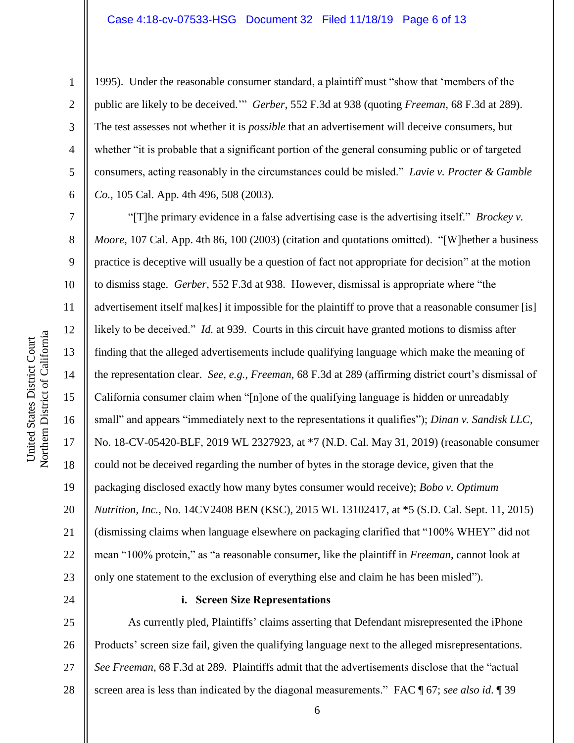#### Case 4:18-cv-07533-HSG Document 32 Filed 11/18/19 Page 6 of 13

1

2

3

4

5

6

7

8

9

10

11

12

13

14

15

16

17

18

19

20

21

22

23

24

1995). Under the reasonable consumer standard, a plaintiff must "show that 'members of the public are likely to be deceived.'" *Gerber*, 552 F.3d at 938 (quoting *Freeman*, 68 F.3d at 289). The test assesses not whether it is *possible* that an advertisement will deceive consumers, but whether "it is probable that a significant portion of the general consuming public or of targeted consumers, acting reasonably in the circumstances could be misled." *Lavie v. Procter & Gamble Co.*, 105 Cal. App. 4th 496, 508 (2003).

"[T]he primary evidence in a false advertising case is the advertising itself." *Brockey v. Moore*, 107 Cal. App. 4th 86, 100 (2003) (citation and quotations omitted). "[W]hether a business practice is deceptive will usually be a question of fact not appropriate for decision" at the motion to dismiss stage. *Gerber*, 552 F.3d at 938. However, dismissal is appropriate where "the advertisement itself ma[kes] it impossible for the plaintiff to prove that a reasonable consumer [is] likely to be deceived." *Id.* at 939. Courts in this circuit have granted motions to dismiss after finding that the alleged advertisements include qualifying language which make the meaning of the representation clear. *See, e.g.*, *Freeman*, 68 F.3d at 289 (affirming district court's dismissal of California consumer claim when "[n]one of the qualifying language is hidden or unreadably small" and appears "immediately next to the representations it qualifies"); *Dinan v. Sandisk LLC*, No. 18-CV-05420-BLF, 2019 WL 2327923, at \*7 (N.D. Cal. May 31, 2019) (reasonable consumer could not be deceived regarding the number of bytes in the storage device, given that the packaging disclosed exactly how many bytes consumer would receive); *Bobo v. Optimum Nutrition, Inc.*, No. 14CV2408 BEN (KSC), 2015 WL 13102417, at \*5 (S.D. Cal. Sept. 11, 2015) (dismissing claims when language elsewhere on packaging clarified that "100% WHEY" did not mean "100% protein," as "a reasonable consumer, like the plaintiff in *Freeman*, cannot look at only one statement to the exclusion of everything else and claim he has been misled").

### **i. Screen Size Representations**

25 26 27 28 As currently pled, Plaintiffs' claims asserting that Defendant misrepresented the iPhone Products' screen size fail, given the qualifying language next to the alleged misrepresentations. *See Freeman*, 68 F.3d at 289. Plaintiffs admit that the advertisements disclose that the "actual screen area is less than indicated by the diagonal measurements." FAC ¶ 67; *see also id*. ¶ 39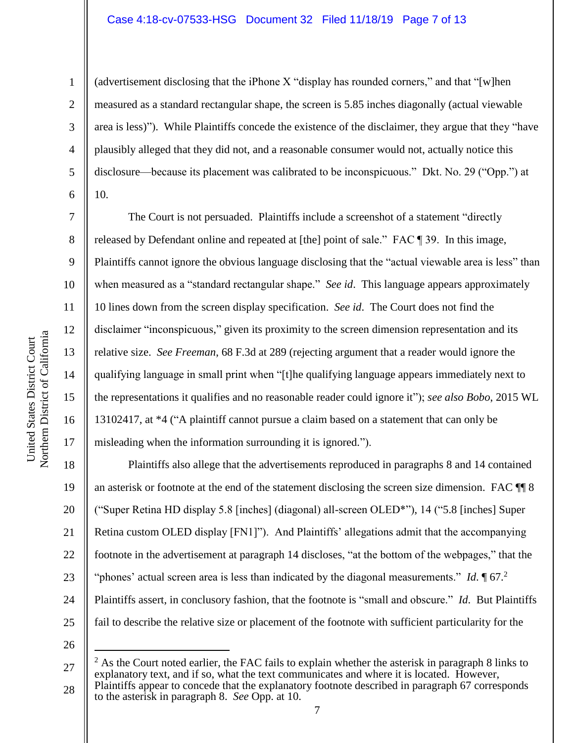### Case 4:18-cv-07533-HSG Document 32 Filed 11/18/19 Page 7 of 13

(advertisement disclosing that the iPhone X "display has rounded corners," and that "[w]hen measured as a standard rectangular shape, the screen is 5.85 inches diagonally (actual viewable area is less)"). While Plaintiffs concede the existence of the disclaimer, they argue that they "have plausibly alleged that they did not, and a reasonable consumer would not, actually notice this disclosure—because its placement was calibrated to be inconspicuous." Dkt. No. 29 ("Opp.") at 10.

The Court is not persuaded. Plaintiffs include a screenshot of a statement "directly released by Defendant online and repeated at [the] point of sale." FAC ¶ 39. In this image, Plaintiffs cannot ignore the obvious language disclosing that the "actual viewable area is less" than when measured as a "standard rectangular shape." *See id*. This language appears approximately 10 lines down from the screen display specification. *See id*. The Court does not find the disclaimer "inconspicuous," given its proximity to the screen dimension representation and its relative size. *See Freeman*, 68 F.3d at 289 (rejecting argument that a reader would ignore the qualifying language in small print when "[t]he qualifying language appears immediately next to the representations it qualifies and no reasonable reader could ignore it"); *see also Bobo*, 2015 WL 13102417, at \*4 ("A plaintiff cannot pursue a claim based on a statement that can only be misleading when the information surrounding it is ignored.").

18 19 20 21 22 23 24 25 Plaintiffs also allege that the advertisements reproduced in paragraphs 8 and 14 contained an asterisk or footnote at the end of the statement disclosing the screen size dimension. FAC ¶¶ 8 ("Super Retina HD display 5.8 [inches] (diagonal) all-screen OLED\*"), 14 ("5.8 [inches] Super Retina custom OLED display [FN1]"). And Plaintiffs' allegations admit that the accompanying footnote in the advertisement at paragraph 14 discloses, "at the bottom of the webpages," that the "phones' actual screen area is less than indicated by the diagonal measurements." *Id*. 167. Plaintiffs assert, in conclusory fashion, that the footnote is "small and obscure." *Id*. But Plaintiffs fail to describe the relative size or placement of the footnote with sufficient particularity for the

26

 $\overline{a}$ 

1

2

3

4

5

6

7

8

9

10

11

12

13

14

15

16

17

<sup>27</sup> 28  $^{2}$  As the Court noted earlier, the FAC fails to explain whether the asterisk in paragraph 8 links to explanatory text, and if so, what the text communicates and where it is located. However, Plaintiffs appear to concede that the explanatory footnote described in paragraph 67 corresponds to the asterisk in paragraph 8. *See* Opp. at 10.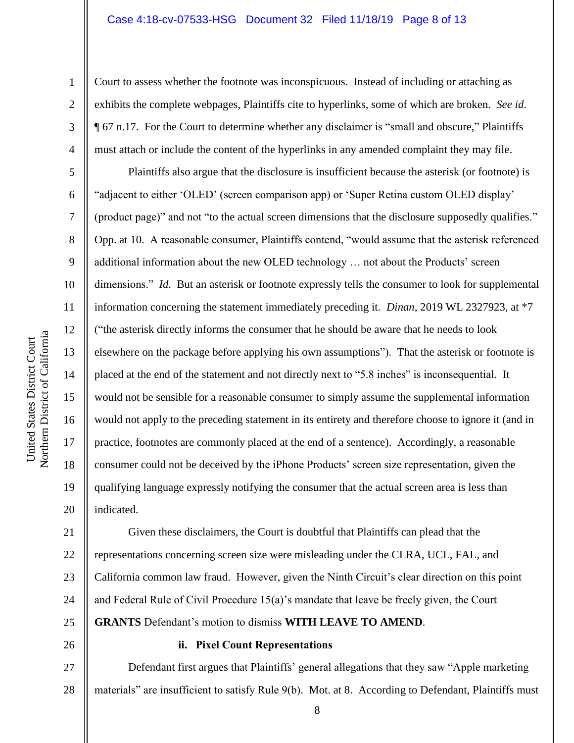#### Case 4:18-cv-07533-HSG Document 32 Filed 11/18/19 Page 8 of 13

Court to assess whether the footnote was inconspicuous. Instead of including or attaching as exhibits the complete webpages, Plaintiffs cite to hyperlinks, some of which are broken. *See id*. ¶ 67 n.17. For the Court to determine whether any disclaimer is "small and obscure," Plaintiffs must attach or include the content of the hyperlinks in any amended complaint they may file.

Plaintiffs also argue that the disclosure is insufficient because the asterisk (or footnote) is "adjacent to either 'OLED' (screen comparison app) or 'Super Retina custom OLED display' (product page)" and not "to the actual screen dimensions that the disclosure supposedly qualifies." Opp. at 10. A reasonable consumer, Plaintiffs contend, "would assume that the asterisk referenced additional information about the new OLED technology … not about the Products' screen dimensions." *Id*. But an asterisk or footnote expressly tells the consumer to look for supplemental information concerning the statement immediately preceding it. *Dinan*, 2019 WL 2327923, at \*7 ("the asterisk directly informs the consumer that he should be aware that he needs to look elsewhere on the package before applying his own assumptions"). That the asterisk or footnote is placed at the end of the statement and not directly next to "5.8 inches" is inconsequential. It would not be sensible for a reasonable consumer to simply assume the supplemental information would not apply to the preceding statement in its entirety and therefore choose to ignore it (and in practice, footnotes are commonly placed at the end of a sentence). Accordingly, a reasonable consumer could not be deceived by the iPhone Products' screen size representation, given the qualifying language expressly notifying the consumer that the actual screen area is less than indicated.

21 22 23 24 25 Given these disclaimers, the Court is doubtful that Plaintiffs can plead that the representations concerning screen size were misleading under the CLRA, UCL, FAL, and California common law fraud. However, given the Ninth Circuit's clear direction on this point and Federal Rule of Civil Procedure 15(a)'s mandate that leave be freely given, the Court **GRANTS** Defendant's motion to dismiss **WITH LEAVE TO AMEND**.

### **ii. Pixel Count Representations**

27 28 Defendant first argues that Plaintiffs' general allegations that they saw "Apple marketing materials" are insufficient to satisfy Rule 9(b). Mot. at 8. According to Defendant, Plaintiffs must

1

2

3

4

5

6

7

8

9

10

11

12

13

14

15

16

17

18

19

20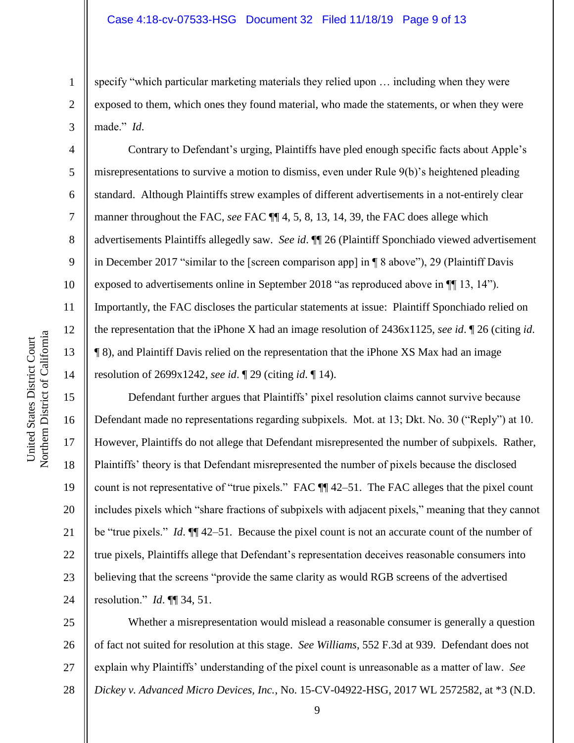specify "which particular marketing materials they relied upon … including when they were exposed to them, which ones they found material, who made the statements, or when they were made." *Id*.

Contrary to Defendant's urging, Plaintiffs have pled enough specific facts about Apple's misrepresentations to survive a motion to dismiss, even under Rule 9(b)'s heightened pleading standard. Although Plaintiffs strew examples of different advertisements in a not-entirely clear manner throughout the FAC, *see* FAC ¶¶ 4, 5, 8, 13, 14, 39, the FAC does allege which advertisements Plaintiffs allegedly saw. *See id*. ¶¶ 26 (Plaintiff Sponchiado viewed advertisement in December 2017 "similar to the [screen comparison app] in ¶ 8 above"), 29 (Plaintiff Davis exposed to advertisements online in September 2018 "as reproduced above in ¶¶ 13, 14"). Importantly, the FAC discloses the particular statements at issue: Plaintiff Sponchiado relied on the representation that the iPhone X had an image resolution of 2436x1125, *see id*. ¶ 26 (citing *id*. ¶ 8), and Plaintiff Davis relied on the representation that the iPhone XS Max had an image resolution of 2699x1242, *see id*. ¶ 29 (citing *id*. ¶ 14).

Defendant further argues that Plaintiffs' pixel resolution claims cannot survive because Defendant made no representations regarding subpixels. Mot. at 13; Dkt. No. 30 ("Reply") at 10. However, Plaintiffs do not allege that Defendant misrepresented the number of subpixels. Rather, Plaintiffs' theory is that Defendant misrepresented the number of pixels because the disclosed count is not representative of "true pixels." FAC ¶¶ 42–51. The FAC alleges that the pixel count includes pixels which "share fractions of subpixels with adjacent pixels," meaning that they cannot be "true pixels." *Id*. ¶¶ 42–51. Because the pixel count is not an accurate count of the number of true pixels, Plaintiffs allege that Defendant's representation deceives reasonable consumers into believing that the screens "provide the same clarity as would RGB screens of the advertised resolution." *Id*. ¶¶ 34, 51.

25 26 27 28 Whether a misrepresentation would mislead a reasonable consumer is generally a question of fact not suited for resolution at this stage. *See Williams*, 552 F.3d at 939. Defendant does not explain why Plaintiffs' understanding of the pixel count is unreasonable as a matter of law. *See Dickey v. Advanced Micro Devices, Inc.*, No. 15-CV-04922-HSG, 2017 WL 2572582, at \*3 (N.D.

1

2

3

4

5

6

7

8

9

10

11

12

13

14

15

16

17

18

19

20

21

22

23

24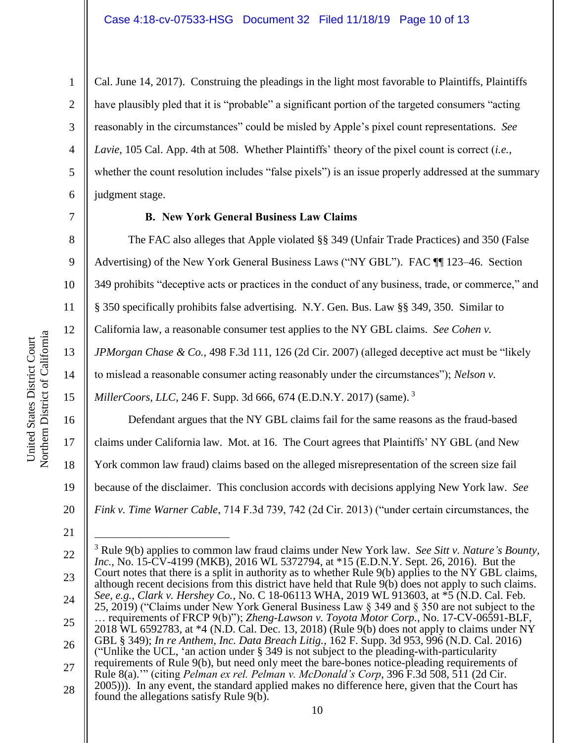Cal. June 14, 2017). Construing the pleadings in the light most favorable to Plaintiffs, Plaintiffs have plausibly pled that it is "probable" a significant portion of the targeted consumers "acting reasonably in the circumstances" could be misled by Apple's pixel count representations. *See Lavie*, 105 Cal. App. 4th at 508. Whether Plaintiffs' theory of the pixel count is correct (*i.e.*, whether the count resolution includes "false pixels") is an issue properly addressed at the summary judgment stage.

7

1

2

3

4

5

6

8

9

12

13

14

15

16

17

18

19

20

## **B. New York General Business Law Claims**

The FAC also alleges that Apple violated §§ 349 (Unfair Trade Practices) and 350 (False Advertising) of the New York General Business Laws ("NY GBL"). FAC ¶¶ 123–46. Section

10 349 prohibits "deceptive acts or practices in the conduct of any business, trade, or commerce," and

11 § 350 specifically prohibits false advertising. N.Y. Gen. Bus. Law §§ 349, 350. Similar to

California law, a reasonable consumer test applies to the NY GBL claims. *See Cohen v.* 

*JPMorgan Chase & Co.*, 498 F.3d 111, 126 (2d Cir. 2007) (alleged deceptive act must be "likely

to mislead a reasonable consumer acting reasonably under the circumstances"); *Nelson v.* 

*MillerCoors, LLC, 246 F. Supp. 3d 666, 674 (E.D.N.Y. 2017)* (same).<sup>3</sup>

Defendant argues that the NY GBL claims fail for the same reasons as the fraud-based claims under California law. Mot. at 16. The Court agrees that Plaintiffs' NY GBL (and New York common law fraud) claims based on the alleged misrepresentation of the screen size fail because of the disclaimer. This conclusion accords with decisions applying New York law. *See Fink v. Time Warner Cable*, 714 F.3d 739, 742 (2d Cir. 2013) ("under certain circumstances, the

21

 $\overline{a}$ 

<sup>22</sup> 23 24 25 26 27 28 <sup>3</sup> Rule 9(b) applies to common law fraud claims under New York law. *See Sitt v. Nature's Bounty, Inc.*, No. 15-CV-4199 (MKB), 2016 WL 5372794, at \*15 (E.D.N.Y. Sept. 26, 2016). But the Court notes that there is a split in authority as to whether Rule 9(b) applies to the NY GBL claims, although recent decisions from this district have held that Rule 9(b) does not apply to such claims. *See, e.g.*, *Clark v. Hershey Co.*, No. C 18-06113 WHA, 2019 WL 913603, at \*5 (N.D. Cal. Feb. 25, 2019) ("Claims under New York General Business Law § 349 and § 350 are not subject to the … requirements of FRCP 9(b)"); *Zheng-Lawson v. Toyota Motor Corp.*, No. 17-CV-06591-BLF, 2018 WL 6592783, at \*4 (N.D. Cal. Dec. 13, 2018) (Rule 9(b) does not apply to claims under NY GBL § 349); *In re Anthem, Inc. Data Breach Litig.*, 162 F. Supp. 3d 953, 996 (N.D. Cal. 2016) ("Unlike the UCL, 'an action under § 349 is not subject to the pleading-with-particularity requirements of Rule 9(b), but need only meet the bare-bones notice-pleading requirements of Rule 8(a).'" (citing *Pelman ex rel. Pelman v. McDonald's Corp*, 396 F.3d 508, 511 (2d Cir. 2005))). In any event, the standard applied makes no difference here, given that the Court has found the allegations satisfy Rule 9(b).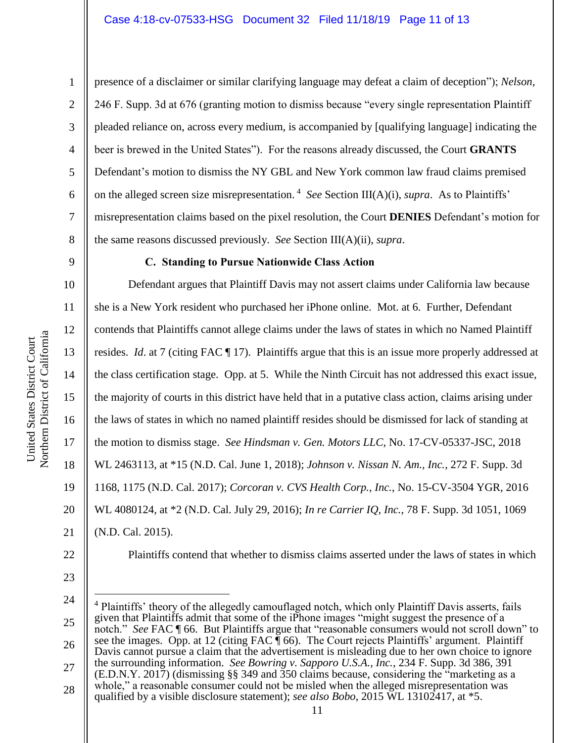1

2

3

4

5

6

7

8

9

10

11

12

13

14

15

16

17

18

19

20

presence of a disclaimer or similar clarifying language may defeat a claim of deception"); *Nelson*, 246 F. Supp. 3d at 676 (granting motion to dismiss because "every single representation Plaintiff pleaded reliance on, across every medium, is accompanied by [qualifying language] indicating the beer is brewed in the United States"). For the reasons already discussed, the Court **GRANTS** Defendant's motion to dismiss the NY GBL and New York common law fraud claims premised on the alleged screen size misrepresentation. <sup>4</sup> *See* Section III(A)(i), *supra*. As to Plaintiffs' misrepresentation claims based on the pixel resolution, the Court **DENIES** Defendant's motion for the same reasons discussed previously. *See* Section III(A)(ii), *supra*.

## **C. Standing to Pursue Nationwide Class Action**

Defendant argues that Plaintiff Davis may not assert claims under California law because she is a New York resident who purchased her iPhone online. Mot. at 6. Further, Defendant contends that Plaintiffs cannot allege claims under the laws of states in which no Named Plaintiff resides. *Id*. at 7 (citing FAC ¶ 17). Plaintiffs argue that this is an issue more properly addressed at the class certification stage. Opp. at 5. While the Ninth Circuit has not addressed this exact issue, the majority of courts in this district have held that in a putative class action, claims arising under the laws of states in which no named plaintiff resides should be dismissed for lack of standing at the motion to dismiss stage. *See Hindsman v. Gen. Motors LLC*, No. 17-CV-05337-JSC, 2018 WL 2463113, at \*15 (N.D. Cal. June 1, 2018); *Johnson v. Nissan N. Am., Inc.*, 272 F. Supp. 3d 1168, 1175 (N.D. Cal. 2017); *Corcoran v. CVS Health Corp., Inc.*, No. 15-CV-3504 YGR, 2016 WL 4080124, at \*2 (N.D. Cal. July 29, 2016); *In re Carrier IQ, Inc.*, 78 F. Supp. 3d 1051, 1069 (N.D. Cal. 2015).

22

21

23

24

25 26 27 28  $\overline{a}$ <sup>4</sup> Plaintiffs' theory of the allegedly camouflaged notch, which only Plaintiff Davis asserts, fails given that Plaintiffs admit that some of the iPhone images "might suggest the presence of a notch." *See* FAC ¶ 66. But Plaintiffs argue that "reasonable consumers would not scroll down" to see the images. Opp. at 12 (citing FAC  $\overline{\P}$  66). The Court rejects Plaintiffs' argument. Plaintiff Davis cannot pursue a claim that the advertisement is misleading due to her own choice to ignore the surrounding information. *See Bowring v. Sapporo U.S.A., Inc.*, 234 F. Supp. 3d 386, 391 (E.D.N.Y. 2017) (dismissing §§ 349 and 350 claims because, considering the "marketing as a whole," a reasonable consumer could not be misled when the alleged misrepresentation was qualified by a visible disclosure statement); *see also Bobo*, 2015 WL 13102417, at \*5.

Plaintiffs contend that whether to dismiss claims asserted under the laws of states in which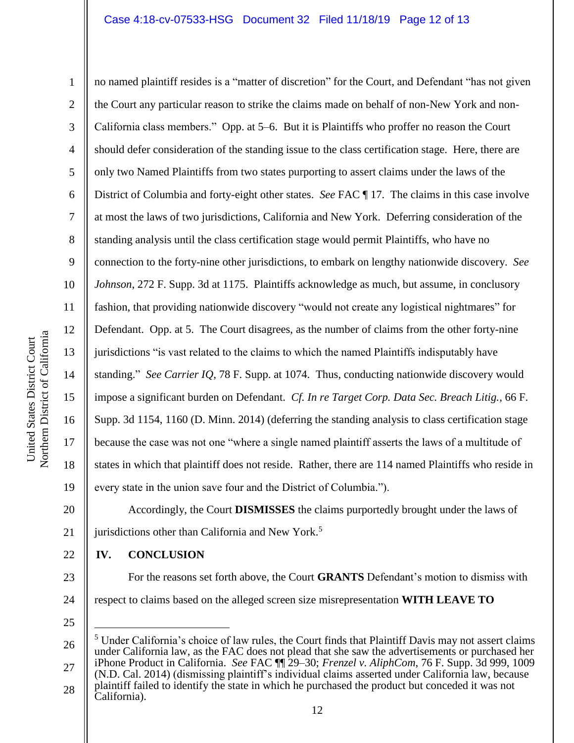Northern District of California Northern District of California

United States District Court

United States District Court

1 2 3 4 5 6 7 8 9 10 11 12 13 14 15 16 17 18 19 no named plaintiff resides is a "matter of discretion" for the Court, and Defendant "has not given the Court any particular reason to strike the claims made on behalf of non-New York and non-California class members." Opp. at 5–6. But it is Plaintiffs who proffer no reason the Court should defer consideration of the standing issue to the class certification stage. Here, there are only two Named Plaintiffs from two states purporting to assert claims under the laws of the District of Columbia and forty-eight other states. *See* FAC ¶ 17. The claims in this case involve at most the laws of two jurisdictions, California and New York. Deferring consideration of the standing analysis until the class certification stage would permit Plaintiffs, who have no connection to the forty-nine other jurisdictions, to embark on lengthy nationwide discovery. *See Johnson*, 272 F. Supp. 3d at 1175. Plaintiffs acknowledge as much, but assume, in conclusory fashion, that providing nationwide discovery "would not create any logistical nightmares" for Defendant. Opp. at 5. The Court disagrees, as the number of claims from the other forty-nine jurisdictions "is vast related to the claims to which the named Plaintiffs indisputably have standing." *See Carrier IQ*, 78 F. Supp. at 1074. Thus, conducting nationwide discovery would impose a significant burden on Defendant. *Cf. In re Target Corp. Data Sec. Breach Litig.*, 66 F. Supp. 3d 1154, 1160 (D. Minn. 2014) (deferring the standing analysis to class certification stage because the case was not one "where a single named plaintiff asserts the laws of a multitude of states in which that plaintiff does not reside. Rather, there are 114 named Plaintiffs who reside in every state in the union save four and the District of Columbia."). Accordingly, the Court **DISMISSES** the claims purportedly brought under the laws of

20 21

**IV. CONCLUSION**

jurisdictions other than California and New York.<sup>5</sup>

- 23 24 For the reasons set forth above, the Court **GRANTS** Defendant's motion to dismiss with respect to claims based on the alleged screen size misrepresentation **WITH LEAVE TO**
- 25

 $\overline{a}$ 

<sup>26</sup> 27 28 <sup>5</sup> Under California's choice of law rules, the Court finds that Plaintiff Davis may not assert claims under California law, as the FAC does not plead that she saw the advertisements or purchased her iPhone Product in California. *See* FAC ¶¶ 29–30; *Frenzel v. AliphCom*, 76 F. Supp. 3d 999, 1009 (N.D. Cal. 2014) (dismissing plaintiff's individual claims asserted under California law, because plaintiff failed to identify the state in which he purchased the product but conceded it was not California).